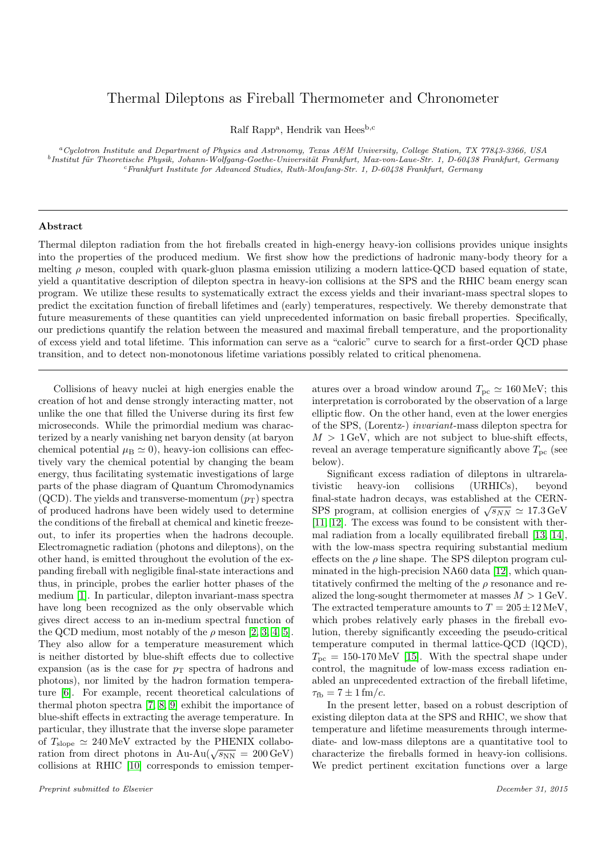## Thermal Dileptons as Fireball Thermometer and Chronometer

Ralf Rapp<sup>a</sup>, Hendrik van Hees<sup>b,c</sup>

<sup>a</sup>Cyclotron Institute and Department of Physics and Astronomy, Texas A&M University, College Station, TX 77843-3366, USA  $^{b}$ Institut für Theoretische Physik, Johann-Wolfgang-Goethe-Universität Frankfurt, Max-von-Laue-Str. 1, D-60438 Frankfurt, Germany <sup>c</sup>Frankfurt Institute for Advanced Studies, Ruth-Moufang-Str. 1, D-60438 Frankfurt, Germany

## Abstract

Thermal dilepton radiation from the hot fireballs created in high-energy heavy-ion collisions provides unique insights into the properties of the produced medium. We first show how the predictions of hadronic many-body theory for a melting  $\rho$  meson, coupled with quark-gluon plasma emission utilizing a modern lattice-QCD based equation of state, yield a quantitative description of dilepton spectra in heavy-ion collisions at the SPS and the RHIC beam energy scan program. We utilize these results to systematically extract the excess yields and their invariant-mass spectral slopes to predict the excitation function of fireball lifetimes and (early) temperatures, respectively. We thereby demonstrate that future measurements of these quantities can yield unprecedented information on basic fireball properties. Specifically, our predictions quantify the relation between the measured and maximal fireball temperature, and the proportionality of excess yield and total lifetime. This information can serve as a "caloric" curve to search for a first-order QCD phase transition, and to detect non-monotonous lifetime variations possibly related to critical phenomena.

Collisions of heavy nuclei at high energies enable the creation of hot and dense strongly interacting matter, not unlike the one that filled the Universe during its first few microseconds. While the primordial medium was characterized by a nearly vanishing net baryon density (at baryon chemical potential  $\mu_B \simeq 0$ , heavy-ion collisions can effectively vary the chemical potential by changing the beam energy, thus facilitating systematic investigations of large parts of the phase diagram of Quantum Chromodynamics (QCD). The yields and transverse-momentum  $(p_T)$  spectra of produced hadrons have been widely used to determine the conditions of the fireball at chemical and kinetic freezeout, to infer its properties when the hadrons decouple. Electromagnetic radiation (photons and dileptons), on the other hand, is emitted throughout the evolution of the expanding fireball with negligible final-state interactions and thus, in principle, probes the earlier hotter phases of the medium [\[1\]](#page-4-0). In particular, dilepton invariant-mass spectra have long been recognized as the only observable which gives direct access to an in-medium spectral function of the QCD medium, most notably of the  $\rho$  meson [\[2,](#page-4-1) [3,](#page-4-2) [4,](#page-4-3) [5\]](#page-4-4). They also allow for a temperature measurement which is neither distorted by blue-shift effects due to collective expansion (as is the case for  $p_T$  spectra of hadrons and photons), nor limited by the hadron formation temperature [\[6\]](#page-4-5). For example, recent theoretical calculations of thermal photon spectra [\[7,](#page-4-6) [8,](#page-4-7) [9\]](#page-4-8) exhibit the importance of blue-shift effects in extracting the average temperature. In particular, they illustrate that the inverse slope parameter of  $T_{\text{slope}} \simeq 240 \,\text{MeV}$  extracted by the PHENIX collaboration from direct photons in Au-Au( $\sqrt{s_{NN}}$  = 200 GeV) collisions at RHIC [\[10\]](#page-4-9) corresponds to emission temperatures over a broad window around  $T_{\text{pc}} \simeq 160 \,\text{MeV}$ ; this interpretation is corroborated by the observation of a large elliptic flow. On the other hand, even at the lower energies of the SPS, (Lorentz-) invariant-mass dilepton spectra for  $M > 1$  GeV, which are not subject to blue-shift effects, reveal an average temperature significantly above  $T_{\text{pc}}$  (see below).

Significant excess radiation of dileptons in ultrarelativistic heavy-ion collisions (URHICs), beyond final-state hadron decays, was established at the CERN-SPS program, at collision energies of  $\sqrt{s_{NN}} \simeq 17.3 \,\text{GeV}$ [\[11,](#page-4-10) [12\]](#page-4-11). The excess was found to be consistent with thermal radiation from a locally equilibrated fireball [\[13,](#page-4-12) [14\]](#page-4-13), with the low-mass spectra requiring substantial medium effects on the  $\rho$  line shape. The SPS dilepton program culminated in the high-precision NA60 data [\[12\]](#page-4-11), which quantitatively confirmed the melting of the  $\rho$  resonance and realized the long-sought thermometer at masses  $M > 1$  GeV. The extracted temperature amounts to  $T = 205 \pm 12 \,\text{MeV}$ , which probes relatively early phases in the fireball evolution, thereby significantly exceeding the pseudo-critical temperature computed in thermal lattice-QCD (lQCD),  $T_{\text{pc}} = 150-170 \text{ MeV}$  [\[15\]](#page-4-14). With the spectral shape under control, the magnitude of low-mass excess radiation enabled an unprecedented extraction of the fireball lifetime,  $\tau_{\text{fb}} = 7 \pm 1 \, \text{fm}/c.$ 

In the present letter, based on a robust description of existing dilepton data at the SPS and RHIC, we show that temperature and lifetime measurements through intermediate- and low-mass dileptons are a quantitative tool to characterize the fireballs formed in heavy-ion collisions. We predict pertinent excitation functions over a large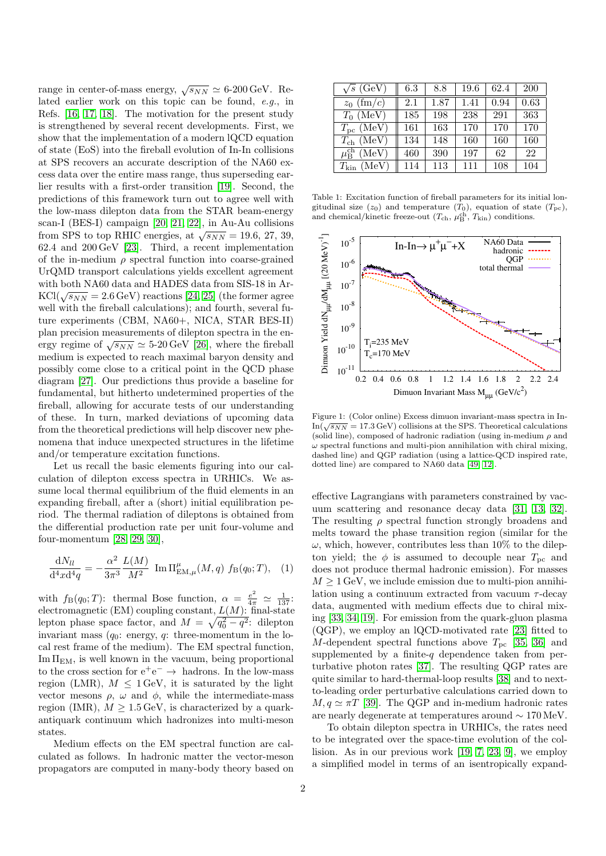range in center-of-mass energy,  $\sqrt{s_{NN}} \simeq 6\text{-}200 \,\text{GeV}$ . Related earlier work on this topic can be found, e.g., in Refs. [\[16,](#page-4-15) [17,](#page-4-16) [18\]](#page-4-17). The motivation for the present study is strengthened by several recent developments. First, we show that the implementation of a modern lQCD equation of state (EoS) into the fireball evolution of In-In collisions at SPS recovers an accurate description of the NA60 excess data over the entire mass range, thus superseding earlier results with a first-order transition [\[19\]](#page-4-18). Second, the predictions of this framework turn out to agree well with the low-mass dilepton data from the STAR beam-energy scan-I (BES-I) campaign [\[20,](#page-4-19) [21,](#page-4-20) [22\]](#page-4-21), in Au-Au collisions from SPS to top RHIC energies, at  $\sqrt{s_{NN}} = 19.6, 27, 39$ , 62.4 and 200 GeV [\[23\]](#page-4-22). Third, a recent implementation of the in-medium  $\rho$  spectral function into coarse-grained UrQMD transport calculations yields excellent agreement with both NA60 data and HADES data from SIS-18 in Ar- $KCl(\sqrt{s_{NN}} = 2.6 \,\text{GeV})$  reactions [\[24,](#page-4-23) [25\]](#page-4-24) (the former agree well with the fireball calculations); and fourth, several future experiments (CBM, NA60+, NICA, STAR BES-II) plan precision measurements of dilepton spectra in the energy regime of  $\sqrt{s_{NN}} \simeq 5{\text -}20\,\text{GeV}$  [\[26\]](#page-4-25), where the fireball medium is expected to reach maximal baryon density and possibly come close to a critical point in the QCD phase diagram [\[27\]](#page-4-26). Our predictions thus provide a baseline for fundamental, but hitherto undetermined properties of the fireball, allowing for accurate tests of our understanding of these. In turn, marked deviations of upcoming data from the theoretical predictions will help discover new phenomena that induce unexpected structures in the lifetime and/or temperature excitation functions.

Let us recall the basic elements figuring into our calculation of dilepton excess spectra in URHICs. We assume local thermal equilibrium of the fluid elements in an expanding fireball, after a (short) initial equilibration period. The thermal radiation of dileptons is obtained from the differential production rate per unit four-volume and four-momentum [\[28,](#page-4-27) [29,](#page-4-28) [30\]](#page-4-29),

$$
\frac{dN_{ll}}{d^4x d^4q} = -\frac{\alpha^2}{3\pi^3} \frac{L(M)}{M^2} \text{ Im } \Pi_{\text{EM},\mu}^{\mu}(M,q) f_B(q_0;T), \quad (1)
$$

with  $f_B(q_0;T)$ : thermal Bose function,  $\alpha = \frac{e^2}{4\pi} \approx \frac{1}{137}$ : electromagnetic (EM) coupling constant,  $L(M)$ : final-state lepton phase space factor, and  $M = \sqrt{q_0^2 - q^2}$ : dilepton invariant mass  $(q_0:$  energy, q: three-momentum in the local rest frame of the medium). The EM spectral function,  $Im \Pi_{EM}$ , is well known in the vacuum, being proportional to the cross section for  $e^+e^- \rightarrow$  hadrons. In the low-mass region (LMR),  $M \leq 1 \,\text{GeV}$ , it is saturated by the light vector mesons  $\rho$ ,  $\omega$  and  $\phi$ , while the intermediate-mass region (IMR),  $M \geq 1.5 \,\text{GeV}$ , is characterized by a quarkantiquark continuum which hadronizes into multi-meson states.

Medium effects on the EM spectral function are calculated as follows. In hadronic matter the vector-meson propagators are computed in many-body theory based on

| $\sqrt{s}$ (GeV)                | 6.3 | 8.8  | 19.6 | 62.4 | <b>200</b> |
|---------------------------------|-----|------|------|------|------------|
| $(\text{fm}/c)$<br>$z_0$        | 2.1 | 1.87 | 1.41 | 0.94 | 0.63       |
| $T_0$ (MeV)                     | 185 | 198  | 238  | 291  | 363        |
| $T_{\rm pc}$ (MeV)              | 161 | 163  | 170  | 170  | 170        |
| $T_{\rm ch}~(\rm MeV)$          | 134 | 148  | 160  | 160  | 160        |
| (MeV)<br>$\mu_{\rm B}^{\rm ch}$ | 460 | 390  | 197  | 62   | 22         |
| (MeV)<br>$T_{\rm kin}$          | 114 | 113  | 111  | 108  | 104        |

<span id="page-1-0"></span>Table 1: Excitation function of fireball parameters for its initial longitudinal size  $(z_0)$  and temperature  $(T_0)$ , equation of state  $(T_{pc})$ , and chemical/kinetic freeze-out  $(T_{\rm ch}, \mu_{\rm B}^{\rm ch}, T_{\rm kin})$  conditions.



<span id="page-1-1"></span>Figure 1: (Color online) Excess dimuon invariant-mass spectra in In- $In(\sqrt{s_{NN}} = 17.3 \,\text{GeV})$  collisions at the SPS. Theoretical calculations (solid line), composed of hadronic radiation (using in-medium  $\rho$  and  $\omega$  spectral functions and multi-pion annihilation with chiral mixing, dashed line) and QGP radiation (using a lattice-QCD inspired rate, dotted line) are compared to NA60 data [\[49,](#page-5-0) [12\]](#page-4-11).

effective Lagrangians with parameters constrained by vacuum scattering and resonance decay data [\[31,](#page-4-30) [13,](#page-4-12) [32\]](#page-4-31). The resulting  $\rho$  spectral function strongly broadens and melts toward the phase transition region (similar for the  $\omega,$  which, however, contributes less than 10% to the dilepton yield; the  $\phi$  is assumed to decouple near  $T_{\text{pc}}$  and does not produce thermal hadronic emission). For masses  $M \geq 1$  GeV, we include emission due to multi-pion annihilation using a continuum extracted from vacuum  $\tau$ -decay data, augmented with medium effects due to chiral mixing [\[33,](#page-4-32) [34,](#page-4-33) [19\]](#page-4-18). For emission from the quark-gluon plasma (QGP), we employ an lQCD-motivated rate [\[23\]](#page-4-22) fitted to M-dependent spectral functions above  $T_{\text{pc}}$  [\[35,](#page-4-34) [36\]](#page-4-35) and supplemented by a finite- $q$  dependence taken from perturbative photon rates [\[37\]](#page-4-36). The resulting QGP rates are quite similar to hard-thermal-loop results [\[38\]](#page-4-37) and to nextto-leading order perturbative calculations carried down to  $M, q \simeq \pi T$  [\[39\]](#page-4-38). The QGP and in-medium hadronic rates are nearly degenerate at temperatures around ∼ 170 MeV.

To obtain dilepton spectra in URHICs, the rates need to be integrated over the space-time evolution of the collision. As in our previous work [\[19,](#page-4-18) [7,](#page-4-6) [23,](#page-4-22) [9\]](#page-4-8), we employ a simplified model in terms of an isentropically expand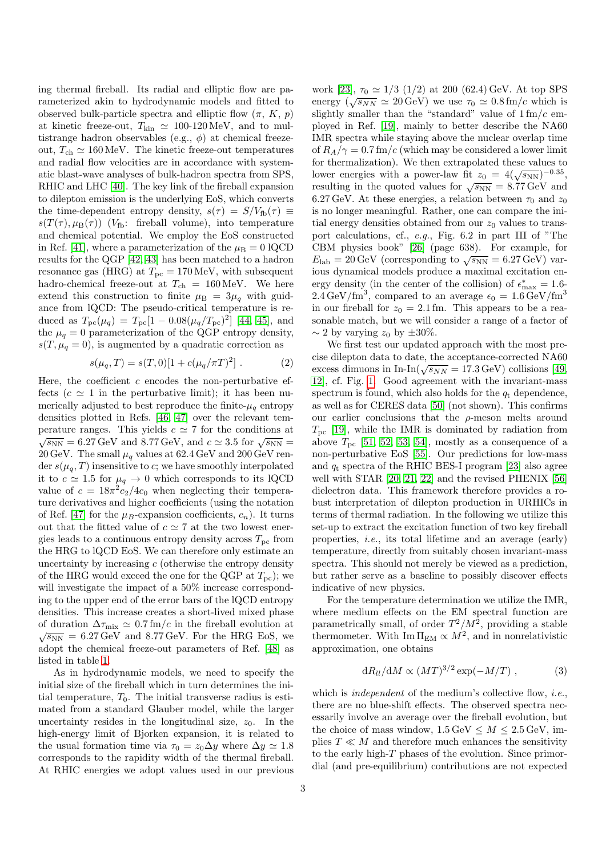ing thermal fireball. Its radial and elliptic flow are parameterized akin to hydrodynamic models and fitted to observed bulk-particle spectra and elliptic flow  $(\pi, K, p)$ at kinetic freeze-out,  $T_{\text{kin}} \simeq 100\text{-}120 \text{ MeV}$ , and to multistrange hadron observables (e.g.,  $\phi$ ) at chemical freezeout,  $T_{ch} \simeq 160 \,\text{MeV}$ . The kinetic freeze-out temperatures and radial flow velocities are in accordance with systematic blast-wave analyses of bulk-hadron spectra from SPS, RHIC and LHC [\[40\]](#page-4-39). The key link of the fireball expansion to dilepton emission is the underlying EoS, which converts the time-dependent entropy density,  $s(\tau) = S/V_{\text{fb}}(\tau) \equiv$  $s(T(\tau), \mu_B(\tau))$  ( $V_{\text{fb}}$ : fireball volume), into temperature and chemical potential. We employ the EoS constructed in Ref. [\[41\]](#page-5-1), where a parameterization of the  $\mu_B = 0$  lQCD results for the QGP [\[42,](#page-5-2) [43\]](#page-5-3) has been matched to a hadron resonance gas (HRG) at  $T_{\text{pc}} = 170 \text{ MeV}$ , with subsequent hadro-chemical freeze-out at  $T_{ch} = 160 \,\text{MeV}$ . We here extend this construction to finite  $\mu_B = 3\mu_q$  with guidance from lQCD: The pseudo-critical temperature is reduced as  $T_{\rm pc}(\mu_q) = T_{\rm pc}[1 - 0.08(\mu_q/T_{\rm pc})^2]$  [\[44,](#page-5-4) [45\]](#page-5-5), and the  $\mu_q = 0$  parameterization of the QGP entropy density,  $s(T, \mu_q = 0)$ , is augmented by a quadratic correction as

$$
s(\mu_q, T) = s(T, 0)[1 + c(\mu_q/\pi T)^2].
$$
 (2)

Here, the coefficient  $c$  encodes the non-perturbative effects ( $c \approx 1$  in the perturbative limit); it has been numerically adjusted to best reproduce the finite- $\mu_q$  entropy densities plotted in Refs. [\[46,](#page-5-6) [47\]](#page-5-7) over the relevant temperature ranges. This yields  $c \approx 7$  for the conditions at  $\sqrt{s_{NN}}$  = 6.27 GeV and 8.77 GeV, and  $c \simeq 3.5$  for  $\sqrt{s_{NN}}$  = 20 GeV. The small  $\mu_q$  values at 62.4 GeV and 200 GeV render  $s(\mu_q, T)$  insensitive to c; we have smoothly interpolated it to  $c \simeq 1.5$  for  $\mu_q \to 0$  which corresponds to its lQCD value of  $c = 18\pi^2 c_2/4c_0$  when neglecting their temperature derivatives and higher coefficients (using the notation of Ref. [\[47\]](#page-5-7) for the  $\mu_B$ -expansion coefficients,  $c_n$ ). It turns out that the fitted value of  $c \simeq 7$  at the two lowest energies leads to a continuous entropy density across  $T_{\text{pc}}$  from the HRG to lQCD EoS. We can therefore only estimate an uncertainty by increasing  $c$  (otherwise the entropy density of the HRG would exceed the one for the QGP at  $T_{pc}$ ; we will investigate the impact of a  $50\%$  increase corresponding to the upper end of the error bars of the lQCD entropy densities. This increase creates a short-lived mixed phase of duration  $\Delta \tau_{\text{mix}} \simeq 0.7 \text{ fm}/c$  in the fireball evolution at  $\sqrt{s_{NN}}$  = 6.27 GeV and 8.77 GeV. For the HRG EoS, we adopt the chemical freeze-out parameters of Ref. [\[48\]](#page-5-8) as listed in table [1.](#page-1-0)

As in hydrodynamic models, we need to specify the initial size of the fireball which in turn determines the initial temperature,  $T_0$ . The initial transverse radius is estimated from a standard Glauber model, while the larger uncertainty resides in the longitudinal size,  $z_0$ . In the high-energy limit of Bjorken expansion, it is related to the usual formation time via  $\tau_0 = z_0 \Delta y$  where  $\Delta y \simeq 1.8$ corresponds to the rapidity width of the thermal fireball. At RHIC energies we adopt values used in our previous

work [\[23\]](#page-4-22),  $\tau_0 \simeq 1/3$  (1/2) at 200 (62.4) GeV. At top SPS energy  $(\sqrt{s_{NN}} \simeq 20 \,\text{GeV})$  we use  $\tau_0 \simeq 0.8 \,\text{fm}/c$  which is slightly smaller than the "standard" value of  $1 \text{ fm}/c$  employed in Ref. [\[19\]](#page-4-18), mainly to better describe the NA60 IMR spectra while staying above the nuclear overlap time of  $R_A/\gamma = 0.7$  fm/c (which may be considered a lower limit for thermalization). We then extrapolated these values to lower energies with a power-law fit  $z_0 = 4(\sqrt{s_{NN}})^{-0.35}$ , resulting in the quoted values for  $\sqrt{s_{NN}} = 8.77 \,\text{GeV}$  and 6.27 GeV. At these energies, a relation between  $\tau_0$  and  $z_0$ is no longer meaningful. Rather, one can compare the initial energy densities obtained from our  $z_0$  values to transport calculations, cf., e.g., Fig. 6.2 in part III of "The CBM physics book" [\[26\]](#page-4-25) (page 638). For example, for  $E_{\rm lab} = 20 \,\text{GeV}$  (corresponding to  $\sqrt{s_{\rm NN}} = 6.27 \,\text{GeV}$ ) various dynamical models produce a maximal excitation energy density (in the center of the collision) of  $\epsilon_{\text{max}}^* = 1.6$  $2.4 \,\text{GeV}/\text{fm}^3$ , compared to an average  $\epsilon_0 = 1.6 \,\text{GeV}/\text{fm}^3$ in our fireball for  $z_0 = 2.1$  fm. This appears to be a reasonable match, but we will consider a range of a factor of  $\sim$  2 by varying  $z_0$  by  $\pm 30\%$ .

We first test our updated approach with the most precise dilepton data to date, the acceptance-corrected NA60 excess dimuons in In-In( $\sqrt{s_{NN}} = 17.3$  GeV) collisions [\[49,](#page-5-0) [12\]](#page-4-11), cf. Fig. [1.](#page-1-1) Good agreement with the invariant-mass spectrum is found, which also holds for the  $q_t$  dependence, as well as for CERES data [\[50\]](#page-5-9) (not shown). This confirms our earlier conclusions that the  $\rho$ -meson melts around  $T_{\text{pc}}$  [\[19\]](#page-4-18), while the IMR is dominated by radiation from above  $T_{\text{pc}}$  [\[51,](#page-5-10) [52,](#page-5-11) [53,](#page-5-12) [54\]](#page-5-13), mostly as a consequence of a non-perturbative EoS [\[55\]](#page-5-14). Our predictions for low-mass and  $q_t$  spectra of the RHIC BES-I program [\[23\]](#page-4-22) also agree well with STAR [\[20,](#page-4-19) [21,](#page-4-20) [22\]](#page-4-21) and the revised PHENIX [\[56\]](#page-5-15) dielectron data. This framework therefore provides a robust interpretation of dilepton production in URHICs in terms of thermal radiation. In the following we utilize this set-up to extract the excitation function of two key fireball properties, i.e., its total lifetime and an average (early) temperature, directly from suitably chosen invariant-mass spectra. This should not merely be viewed as a prediction, but rather serve as a baseline to possibly discover effects indicative of new physics.

For the temperature determination we utilize the IMR, where medium effects on the EM spectral function are parametrically small, of order  $T^2/M^2$ , providing a stable thermometer. With  $\text{Im}\,\Pi_{\text{EM}} \propto M^2$ , and in nonrelativistic approximation, one obtains

$$
dR_{ll}/dM \propto (MT)^{3/2} \exp(-M/T) , \qquad (3)
$$

which is *independent* of the medium's collective flow, *i.e.*, there are no blue-shift effects. The observed spectra necessarily involve an average over the fireball evolution, but the choice of mass window,  $1.5 \,\text{GeV} \leq M \leq 2.5 \,\text{GeV}$ , implies  $T \ll M$  and therefore much enhances the sensitivity to the early high- $T$  phases of the evolution. Since primordial (and pre-equilibrium) contributions are not expected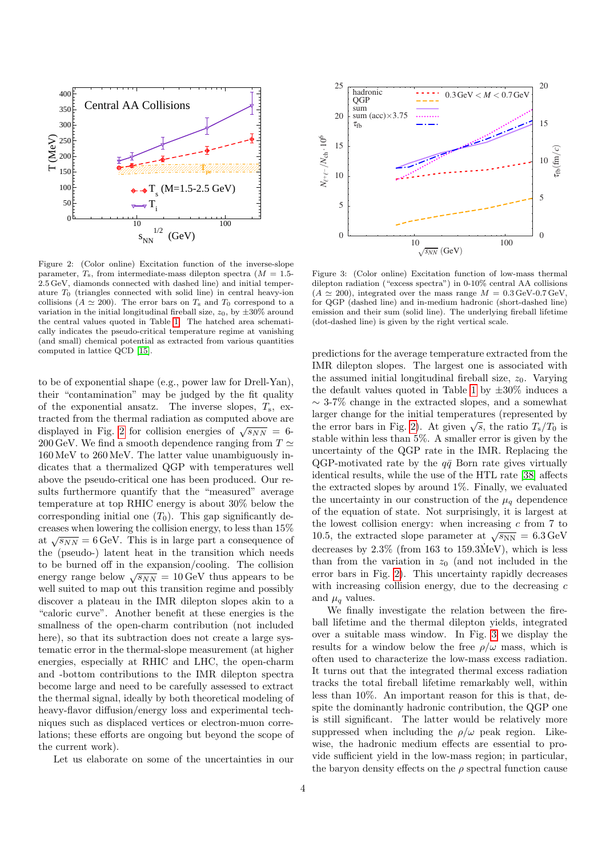

<span id="page-3-0"></span>Figure 2: (Color online) Excitation function of the inverse-slope parameter,  $T_s$ , from intermediate-mass dilepton spectra ( $M = 1.5$ -2.5 GeV, diamonds connected with dashed line) and initial temperature  $T_0$  (triangles connected with solid line) in central heavy-ion collisions ( $A \simeq 200$ ). The error bars on  $T_s$  and  $T_0$  correspond to a variation in the initial longitudinal fireball size,  $z_0$ , by  $\pm 30\%$  around the central values quoted in Table [1.](#page-1-0) The hatched area schematically indicates the pseudo-critical temperature regime at vanishing (and small) chemical potential as extracted from various quantities computed in lattice QCD [\[15\]](#page-4-14).

to be of exponential shape (e.g., power law for Drell-Yan), their "contamination" may be judged by the fit quality of the exponential ansatz. The inverse slopes,  $T_s$ , extracted from the thermal radiation as computed above are displayed in Fig. [2](#page-3-0) for collision energies of  $\sqrt{s_{NN}} = 6$ -200 GeV. We find a smooth dependence ranging from  $T \simeq$ 160 MeV to 260 MeV. The latter value unambiguously indicates that a thermalized QGP with temperatures well above the pseudo-critical one has been produced. Our results furthermore quantify that the "measured" average temperature at top RHIC energy is about 30% below the corresponding initial one  $(T_0)$ . This gap significantly decreases when lowering the collision energy, to less than 15% at  $\sqrt{s_{NN}} = 6 \,\text{GeV}$ . This is in large part a consequence of the (pseudo-) latent heat in the transition which needs to be burned off in the expansion/cooling. The collision energy range below  $\sqrt{s_{NN}} = 10 \,\text{GeV}$  thus appears to be well suited to map out this transition regime and possibly discover a plateau in the IMR dilepton slopes akin to a "caloric curve". Another benefit at these energies is the smallness of the open-charm contribution (not included here), so that its subtraction does not create a large systematic error in the thermal-slope measurement (at higher energies, especially at RHIC and LHC, the open-charm and -bottom contributions to the IMR dilepton spectra become large and need to be carefully assessed to extract the thermal signal, ideally by both theoretical modeling of heavy-flavor diffusion/energy loss and experimental techniques such as displaced vertices or electron-muon correlations; these efforts are ongoing but beyond the scope of the current work).

Let us elaborate on some of the uncertainties in our



<span id="page-3-1"></span>Figure 3: (Color online) Excitation function of low-mass thermal dilepton radiation ("excess spectra") in 0-10% central AA collisions  $(A \simeq 200)$ , integrated over the mass range  $M = 0.3 \text{ GeV}$ -0.7 GeV, for QGP (dashed line) and in-medium hadronic (short-dashed line) emission and their sum (solid line). The underlying fireball lifetime (dot-dashed line) is given by the right vertical scale.

predictions for the average temperature extracted from the IMR dilepton slopes. The largest one is associated with the assumed initial longitudinal fireball size,  $z_0$ . Varying the default values quoted in Table [1](#page-1-0) by  $\pm 30\%$  induces a ∼ 3-7% change in the extracted slopes, and a somewhat larger change for the initial temperatures (represented by the error bars in Fig. [2\)](#page-3-0). At given  $\sqrt{s}$ , the ratio  $T_s/T_0$  is stable within less than 5%. A smaller error is given by the uncertainty of the QGP rate in the IMR. Replacing the QGP-motivated rate by the  $q\bar{q}$  Born rate gives virtually identical results, while the use of the HTL rate [\[38\]](#page-4-37) affects the extracted slopes by around 1%. Finally, we evaluated the uncertainty in our construction of the  $\mu_q$  dependence of the equation of state. Not surprisingly, it is largest at the lowest collision energy: when increasing  $c$  from  $7$  to 10.5, the extracted slope parameter at  $\sqrt{s_{NN}} = 6.3 \,\text{GeV}$ decreases by  $2.3\%$  (from 163 to 159.3MeV), which is less than from the variation in  $z_0$  (and not included in the error bars in Fig. [2\)](#page-3-0). This uncertainty rapidly decreases with increasing collision energy, due to the decreasing  $c$ and  $\mu_q$  values.

We finally investigate the relation between the fireball lifetime and the thermal dilepton yields, integrated over a suitable mass window. In Fig. [3](#page-3-1) we display the results for a window below the free  $\rho/\omega$  mass, which is often used to characterize the low-mass excess radiation. It turns out that the integrated thermal excess radiation tracks the total fireball lifetime remarkably well, within less than 10%. An important reason for this is that, despite the dominantly hadronic contribution, the OGP one is still significant. The latter would be relatively more suppressed when including the  $\rho/\omega$  peak region. Likewise, the hadronic medium effects are essential to provide sufficient yield in the low-mass region; in particular, the baryon density effects on the  $\rho$  spectral function cause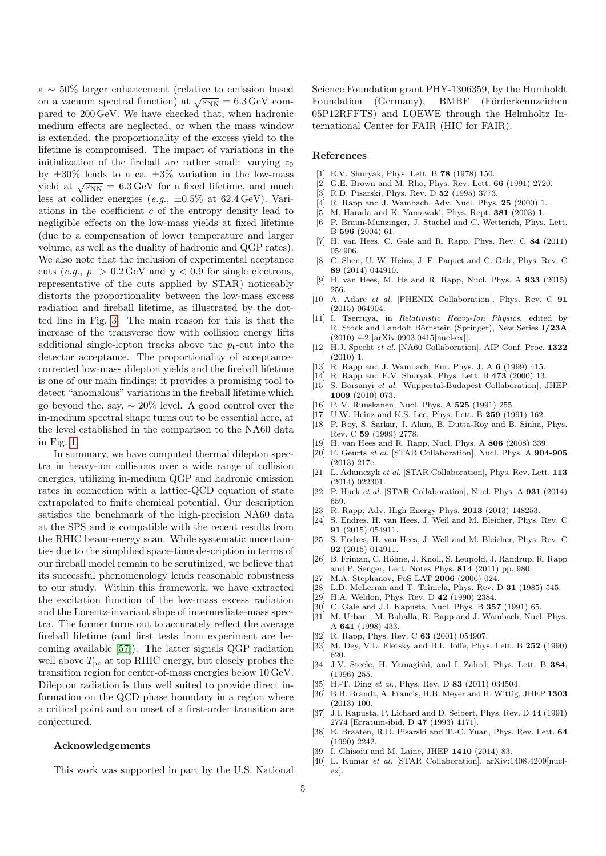a ∼ 50% larger enhancement (relative to emission based on a vacuum spectral function) at  $\sqrt{s_{NN}} = 6.3 \,\text{GeV}$  compared to 200 GeV. We have checked that, when hadronic medium effects are neglected, or when the mass window is extended, the proportionality of the excess yield to the lifetime is compromised. The impact of variations in the initialization of the fireball are rather small: varying  $z_0$ by  $\pm 30\%$  leads to a ca.  $\pm 3\%$  variation in the low-mass yield at  $\sqrt{s_{NN}} = 6.3 \,\text{GeV}$  for a fixed lifetime, and much less at collider energies (e.g.,  $\pm 0.5\%$  at 62.4 GeV). Variations in the coefficient  $c$  of the entropy density lead to negligible effects on the low-mass yields at fixed lifetime (due to a compensation of lower temperature and larger volume, as well as the duality of hadronic and QGP rates). We also note that the inclusion of experimental aceptance cuts (e.g.,  $p_t > 0.2 \,\text{GeV}$  and  $y < 0.9$  for single electrons, representative of the cuts applied by STAR) noticeably distorts the proportionality between the low-mass excess radiation and fireball lifetime, as illustrated by the dotted line in Fig. [3.](#page-3-1) The main reason for this is that the increase of the transverse flow with collision energy lifts additional single-lepton tracks above the  $p_t$ -cut into the detector acceptance. The proportionality of acceptancecorrected low-mass dilepton yields and the fireball lifetime is one of our main findings; it provides a promising tool to detect "anomalous" variations in the fireball lifetime which go beyond the, say,  $\sim 20\%$  level. A good control over the in-medium spectral shape turns out to be essential here, at the level established in the comparison to the NA60 data in Fig. [1.](#page-1-1)

In summary, we have computed thermal dilepton spectra in heavy-ion collisions over a wide range of collision energies, utilizing in-medium QGP and hadronic emission rates in connection with a lattice-QCD equation of state extrapolated to finite chemical potential. Our description satisfies the benchmark of the high-precision NA60 data at the SPS and is compatible with the recent results from the RHIC beam-energy scan. While systematic uncertainties due to the simplified space-time description in terms of our fireball model remain to be scrutinized, we believe that its successful phenomenology lends reasonable robustness to our study. Within this framework, we have extracted the excitation function of the low-mass excess radiation and the Lorentz-invariant slope of intermediate-mass spectra. The former turns out to accurately reflect the average fireball lifetime (and first tests from experiment are becoming available [\[57\]](#page-5-16)). The latter signals QGP radiation well above  $T_{\text{pc}}$  at top RHIC energy, but closely probes the transition region for center-of-mass energies below 10 GeV. Dilepton radiation is thus well suited to provide direct information on the QCD phase boundary in a region where a critical point and an onset of a first-order transition are conjectured.

## Acknowledgements

This work was supported in part by the U.S. National

Science Foundation grant PHY-1306359, by the Humboldt Foundation (Germany), BMBF (Förderkennzeichen 05P12RFFTS) and LOEWE through the Helmholtz International Center for FAIR (HIC for FAIR).

## References

- <span id="page-4-0"></span>[1] E.V. Shuryak, Phys. Lett. B 78 (1978) 150.
- <span id="page-4-1"></span>[2] G.E. Brown and M. Rho, Phys. Rev. Lett. 66 (1991) 2720.
- <span id="page-4-2"></span>[3] R.D. Pisarski, Phys. Rev. D 52 (1995) 3773.
- <span id="page-4-3"></span>[4] R. Rapp and J. Wambach, Adv. Nucl. Phys. **25** (2000) 1.
- <span id="page-4-4"></span>[5] M. Harada and K. Yamawaki, Phys. Rept. 381 (2003) 1.
- <span id="page-4-5"></span>[6] P. Braun-Munzinger, J. Stachel and C. Wetterich, Phys. Lett. B 596 (2004) 61.
- <span id="page-4-6"></span>[7] H. van Hees, C. Gale and R. Rapp, Phys. Rev. C 84 (2011) 054906.
- <span id="page-4-7"></span>[8] C. Shen, U. W. Heinz, J. F. Paquet and C. Gale, Phys. Rev. C 89 (2014) 044910.
- <span id="page-4-8"></span>[9] H. van Hees, M. He and R. Rapp, Nucl. Phys. A 933 (2015) 256.
- <span id="page-4-9"></span>[10] A. Adare et al. [PHENIX Collaboration], Phys. Rev. C 91 (2015) 064904.
- <span id="page-4-10"></span>[11] I. Tserruya, in Relativistic Heavy-Ion Physics, edited by R. Stock and Landolt Börnstein (Springer), New Series I/23A (2010) 4-2 [arXiv:0903.0415[nucl-ex]].
- <span id="page-4-11"></span>[12] H.J. Specht et al. [NA60 Collaboration], AIP Conf. Proc. 1322 (2010) 1.
- <span id="page-4-12"></span>[13] R. Rapp and J. Wambach, Eur. Phys. J. A 6 (1999) 415.
- <span id="page-4-13"></span>[14] R. Rapp and E.V. Shuryak, Phys. Lett. B 473 (2000) 13.
- <span id="page-4-14"></span>[15] S. Borsanyi et al. [Wuppertal-Budapest Collaboration], JHEP 1009 (2010) 073.
- <span id="page-4-15"></span>[16] P. V. Ruuskanen, Nucl. Phys. A 525 (1991) 255.
- <span id="page-4-16"></span>[17] U.W. Heinz and K.S. Lee, Phys. Lett. B 259 (1991) 162.
- <span id="page-4-17"></span>[18] P. Roy, S. Sarkar, J. Alam, B. Dutta-Roy and B. Sinha, Phys. Rev. C 59 (1999) 2778.
- <span id="page-4-18"></span>[19] H. van Hees and R. Rapp, Nucl. Phys. A 806 (2008) 339.
- <span id="page-4-19"></span>[20] F. Geurts et al. [STAR Collaboration], Nucl. Phys. A 904-905 (2013) 217c.
- <span id="page-4-20"></span>[21] L. Adamczyk et al. [STAR Collaboration], Phys. Rev. Lett. 113 (2014) 022301.
- <span id="page-4-21"></span>[22] P. Huck et al. [STAR Collaboration], Nucl. Phys. A 931 (2014) 659.
- <span id="page-4-22"></span>[23] R. Rapp, Adv. High Energy Phys. **2013** (2013) 148253.
- <span id="page-4-23"></span>[24] S. Endres, H. van Hees, J. Weil and M. Bleicher, Phys. Rev. C 91 (2015) 054911.
- <span id="page-4-24"></span>[25] S. Endres, H. van Hees, J. Weil and M. Bleicher, Phys. Rev. C 92 (2015) 014911.
- <span id="page-4-25"></span>[26] B. Friman, C. Höhne, J. Knoll, S. Leupold, J. Randrup, R. Rapp and P. Senger, Lect. Notes Phys. 814 (2011) pp. 980.
- <span id="page-4-26"></span>[27] M.A. Stephanov, PoS LAT 2006 (2006) 024.
- <span id="page-4-27"></span>[28] L.D. McLerran and T. Toimela, Phys. Rev. D 31 (1985) 545.
- <span id="page-4-28"></span>[29] H.A. Weldon, Phys. Rev. D  $42$  (1990) 2384.
- <span id="page-4-29"></span>[30] C. Gale and J.I. Kapusta, Nucl. Phys. B **357** (1991) 65.
- <span id="page-4-30"></span>[31] M. Urban , M. Buballa, R. Rapp and J. Wambach, Nucl. Phys. A 641 (1998) 433.
- <span id="page-4-31"></span>[32] R. Rapp, Phys. Rev. C 63 (2001) 054907.
- <span id="page-4-32"></span>[33] M. Dey, V.L. Eletsky and B.L. Ioffe, Phys. Lett. B 252 (1990) 620.
- <span id="page-4-33"></span>[34] J.V. Steele, H. Yamagishi, and I. Zahed, Phys. Lett. B 384, (1996) 255.
- <span id="page-4-34"></span>[35] H.-T. Ding et al., Phys. Rev. D 83 (2011) 034504.
- <span id="page-4-35"></span>[36] B.B. Brandt, A. Francis, H.B. Meyer and H. Wittig, JHEP 1303 (2013) 100.
- <span id="page-4-36"></span>[37] J.I. Kapusta, P. Lichard and D. Seibert, Phys. Rev. D 44 (1991) 2774 [Erratum-ibid. D 47 (1993) 4171].
- <span id="page-4-37"></span>[38] E. Braaten, R.D. Pisarski and T.-C. Yuan, Phys. Rev. Lett. 64 (1990) 2242.
- <span id="page-4-38"></span>[39]  $\hat{I}$ . Ghisoiu and M. Laine, JHEP 1410 (2014) 83.
- <span id="page-4-39"></span>[40] L. Kumar et al. [STAR Collaboration], arXiv:1408.4209[nuclex].